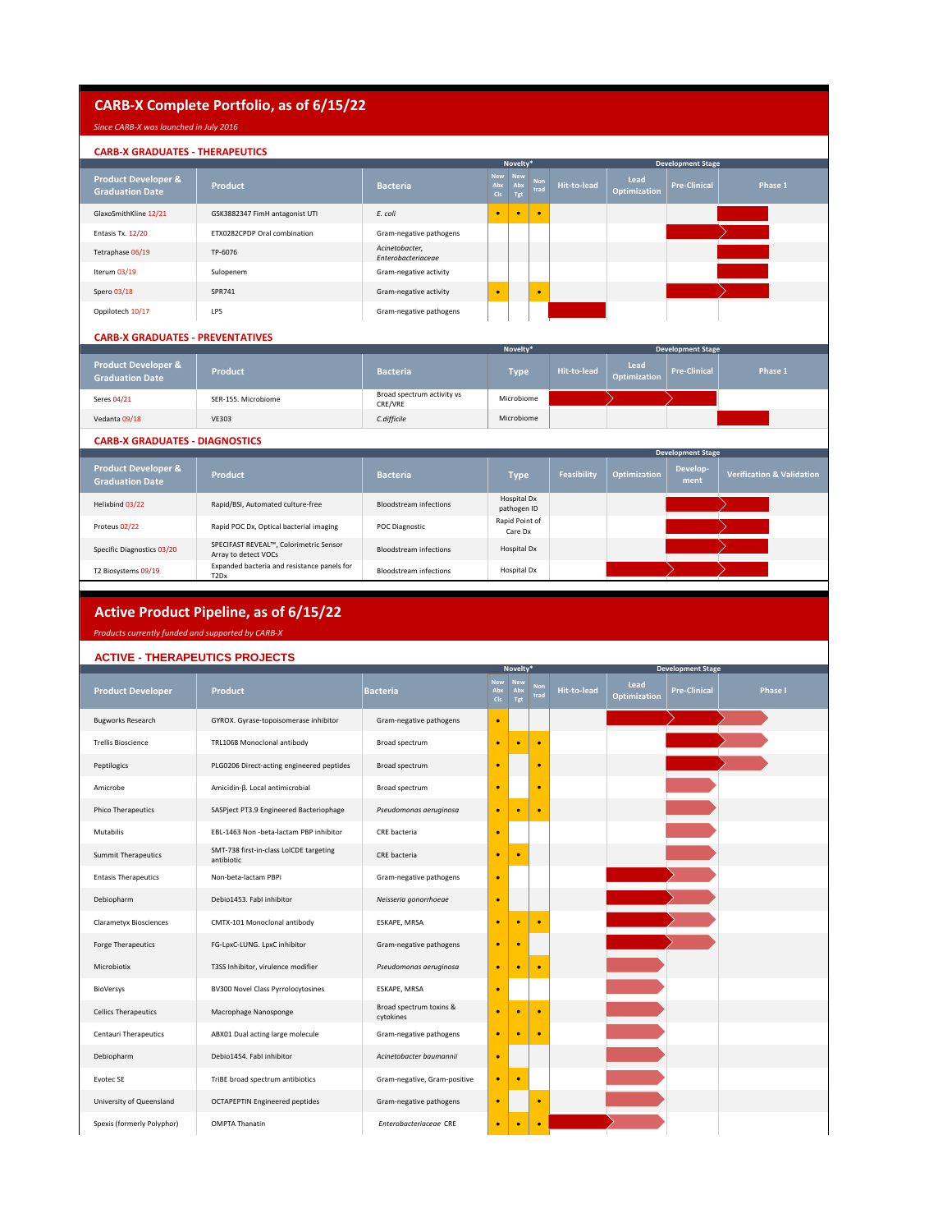# **CARB-X Complete Portfolio, as of 6/15/22**

## *Since CARB-X was launched in July 2016*

## **CARB-X GRADUATES - THERAPEUTICS**

|                                                          |                                |                                      | Novelty*          |                       |                    |             | <b>Development Stage</b>    |                     |         |
|----------------------------------------------------------|--------------------------------|--------------------------------------|-------------------|-----------------------|--------------------|-------------|-----------------------------|---------------------|---------|
| <b>Product Developer &amp;</b><br><b>Graduation Date</b> | Product                        | <b>Bacteria</b>                      | Abx<br><b>CIs</b> | New New<br>Abx<br>Tgt | <b>Non</b><br>trad | Hit-to-lead | Lead<br><b>Optimization</b> | <b>Pre-Clinical</b> | Phase 1 |
| GlaxoSmithKline 12/21                                    | GSK3882347 FimH antagonist UTI | E. coli                              | ٠                 |                       | $\bullet$          |             |                             |                     |         |
| Entasis Tx. 12/20                                        | ETX0282CPDP Oral combination   | Gram-negative pathogens              |                   |                       |                    |             |                             |                     |         |
| Tetraphase 06/19                                         | TP-6076                        | Acinetobacter,<br>Enterobacteriaceae |                   |                       |                    |             |                             |                     |         |
| Iterum 03/19                                             | Sulopenem                      | Gram-negative activity               |                   |                       |                    |             |                             |                     |         |
| Spero 03/18                                              | SPR741                         | Gram-negative activity               |                   |                       | $\bullet$          |             |                             |                     |         |
| Oppilotech 10/17                                         | LPS                            | Gram-negative pathogens              |                   |                       |                    |             |                             |                     |         |
|                                                          |                                |                                      |                   |                       |                    |             |                             |                     |         |

#### **CARB-X GRADUATES - PREVENTATIVES**

|                                                          |                     |                                       | <b>Development Stage</b> |             |                             |                     |         |
|----------------------------------------------------------|---------------------|---------------------------------------|--------------------------|-------------|-----------------------------|---------------------|---------|
| <b>Product Developer &amp;</b><br><b>Graduation Date</b> | Product             | <b>Bacteria</b>                       | <b>Type</b>              | Hit-to-lead | Lead<br><b>Optimization</b> | <b>Pre-Clinical</b> | Phase 1 |
| Seres 04/21                                              | SER-155. Microbiome | Broad spectrum activity vs<br>CRE/VRE | Microbiome               |             |                             |                     |         |
| Vedanta 09/18                                            | <b>VE303</b>        | C.difficile                           | Microbiome               |             |                             |                     |         |
|                                                          |                     |                                       |                          |             |                             |                     |         |

#### **CARB-X GRADUATES - DIAGNOSTICS**

|                                                          | <b>Development Stage</b>                                                     |                               |                            |             |              |                  |                                      |  |  |  |
|----------------------------------------------------------|------------------------------------------------------------------------------|-------------------------------|----------------------------|-------------|--------------|------------------|--------------------------------------|--|--|--|
| <b>Product Developer &amp;</b><br><b>Graduation Date</b> | <b>Product</b>                                                               | <b>Bacteria</b>               | Type                       | Feasibility | Optimization | Develop-<br>ment | <b>Verification &amp; Validation</b> |  |  |  |
| Helixbind 03/22                                          | Rapid/BSI, Automated culture-free                                            | <b>Bloodstream infections</b> | Hospital Dx<br>pathogen ID |             |              |                  |                                      |  |  |  |
| Proteus 02/22                                            | Rapid POC Dx, Optical bacterial imaging                                      | POC Diagnostic                | Rapid Point of<br>Care Dx  |             |              |                  |                                      |  |  |  |
| Specific Diagnostics 03/20                               | SPECIFAST REVEAL™, Colorimetric Sensor<br>Array to detect VOCs               | <b>Bloodstream infections</b> | Hospital Dx                |             |              |                  |                                      |  |  |  |
| T2 Biosystems 09/19                                      | Expanded bacteria and resistance panels for<br>T <sub>2</sub> D <sub>x</sub> | <b>Bloodstream infections</b> | Hospital Dx                |             |              |                  |                                      |  |  |  |

### **Active Product Pipeline, as of 6/15/22**

*Products currently funded and supported by CARB-X*

### **ACTIVE - THERAPEUTICS PROJECTS**

|                               |                                                       |                                      | Novelty*                             |                          | <b>Development Stage</b> |                    |                             |                     |                |
|-------------------------------|-------------------------------------------------------|--------------------------------------|--------------------------------------|--------------------------|--------------------------|--------------------|-----------------------------|---------------------|----------------|
| <b>Product Developer</b>      | <b>Product</b>                                        | <b>Bacteria</b>                      | <b>New</b><br>Abx<br>C <sub>Is</sub> | <b>New</b><br>Abx<br>Tgt | <b>Non</b><br>trad       | <b>Hit-to-lead</b> | Lead<br><b>Optimization</b> | <b>Pre-Clinical</b> | <b>Phase I</b> |
| <b>Bugworks Research</b>      | GYROX. Gyrase-topoisomerase inhibitor                 | Gram-negative pathogens              | $\bullet$                            |                          |                          |                    |                             |                     |                |
| <b>Trellis Bioscience</b>     | TRL1068 Monoclonal antibody                           | Broad spectrum                       | ٠                                    |                          | ۰                        |                    |                             |                     |                |
| Peptilogics                   | PLG0206 Direct-acting engineered peptides             | Broad spectrum                       | ٠                                    |                          | ٠                        |                    |                             |                     |                |
| Amicrobe                      | Amicidin-β. Local antimicrobial                       | Broad spectrum                       | ٠                                    |                          | ٠                        |                    |                             |                     |                |
| <b>Phico Therapeutics</b>     | SASPject PT3.9 Engineered Bacteriophage               | Pseudomonas aeruginosa               | ٠                                    | ٠                        | ٠                        |                    |                             |                     |                |
| Mutabilis                     | EBL-1463 Non -beta-lactam PBP inhibitor               | CRE bacteria                         | ٠                                    |                          |                          |                    |                             |                     |                |
| <b>Summit Therapeutics</b>    | SMT-738 first-in-class LoICDE targeting<br>antibiotic | CRE bacteria                         | ٠                                    |                          |                          |                    |                             |                     |                |
| <b>Entasis Therapeutics</b>   | Non-beta-lactam PBPi                                  | Gram-negative pathogens              | ٠                                    |                          |                          |                    |                             |                     |                |
| Debiopharm                    | Debio1453. Fabl inhibitor                             | Neisseria gonorrhoeae                | ×                                    |                          |                          |                    |                             |                     |                |
| <b>Clarametyx Biosciences</b> | CMTX-101 Monoclonal antibody                          | ESKAPE, MRSA                         | ٠                                    |                          |                          |                    |                             |                     |                |
| Forge Therapeutics            | FG-LpxC-LUNG. LpxC inhibitor                          | Gram-negative pathogens              | ٠                                    |                          |                          |                    |                             |                     |                |
| Microbiotix                   | T3SS Inhibitor, virulence modifier                    | Pseudomonas aeruginosa               | ٠                                    |                          | ٠                        |                    |                             |                     |                |
| BioVersys                     | BV300 Novel Class Pyrrolocytosines                    | ESKAPE, MRSA                         | ٠                                    |                          |                          |                    |                             |                     |                |
| <b>Cellics Therapeutics</b>   | Macrophage Nanosponge                                 | Broad spectrum toxins &<br>cytokines | ٠                                    |                          |                          |                    |                             |                     |                |
| Centauri Therapeutics         | ABX01 Dual acting large molecule                      | Gram-negative pathogens              | ٠                                    | ٠                        | ٠                        |                    |                             |                     |                |
| Debiopharm                    | Debio1454, Fabl inhibitor                             | Acinetobacter baumannii              | ٠                                    |                          |                          |                    |                             |                     |                |
| Evotec SE                     | TriBE broad spectrum antibiotics                      | Gram-negative, Gram-positive         | ٠                                    |                          |                          |                    |                             |                     |                |
| University of Queensland      | <b>OCTAPEPTIN Engineered peptides</b>                 | Gram-negative pathogens              | ٠                                    |                          | $\bullet$                |                    |                             |                     |                |
| Spexis (formerly Polyphor)    | <b>OMPTA Thanatin</b>                                 | Enterobacteriaceae CRE               | ٠                                    | ٠                        | ٠                        |                    |                             |                     |                |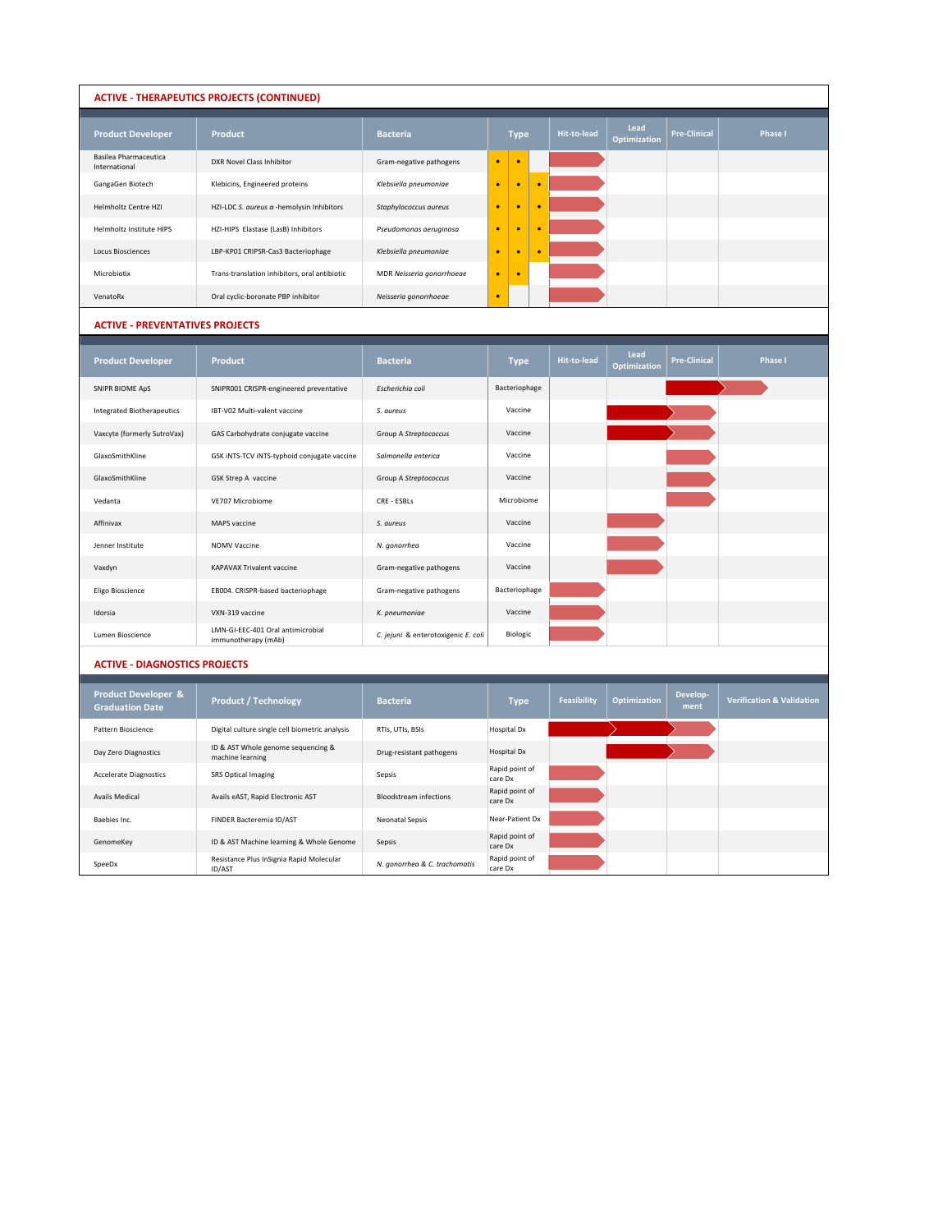## **ACTIVE - THERAPEUTICS PROJECTS (CONTINUED)**

| <b>Product Developer</b>               | Product                                          | <b>Bacteria</b>           |           | <b>Type</b> | Hit-to-lead | Lead<br>Optimization | <b>Pre-Clinical</b> | <b>Phase I</b> |
|----------------------------------------|--------------------------------------------------|---------------------------|-----------|-------------|-------------|----------------------|---------------------|----------------|
| Basilea Pharmaceutica<br>International | DXR Novel Class Inhibitor                        | Gram-negative pathogens   | $\bullet$ |             |             |                      |                     |                |
| GangaGen Biotech                       | Klebicins, Engineered proteins                   | Klebsiella pneumoniae     | $\bullet$ |             |             |                      |                     |                |
| Helmholtz Centre HZI                   | HZI-LDC S. aureus $\alpha$ -hemolysin Inhibitors | Staphylococcus aureus     | $\bullet$ |             |             |                      |                     |                |
| Helmholtz Institute HIPS               | HZI-HIPS Elastase (LasB) Inhibitors              | Pseudomonas aeruginosa    | $\bullet$ |             |             |                      |                     |                |
| <b>Locus Biosciences</b>               | LBP-KP01 CRIPSR-Cas3 Bacteriophage               | Klebsiella pneumoniae     | ٠         |             |             |                      |                     |                |
| Microbiotix                            | Trans-translation inhibitors, oral antibiotic    | MDR Neisseria gonorrhoeae | $\bullet$ |             |             |                      |                     |                |
| VenatoRx                               | Oral cyclic-boronate PBP inhibitor               | Neisseria gonorrhoeae     | ٠         |             |             |                      |                     |                |

#### **ACTIVE - PREVENTATIVES PROJECTS**

| <b>Product Developer</b>          | <b>Product</b>                                           | <b>Bacteria</b>                     | <b>Type</b>     | Hit-to-lead | Lead<br><b>Optimization</b> | <b>Pre-Clinical</b> | <b>Phase I</b> |
|-----------------------------------|----------------------------------------------------------|-------------------------------------|-----------------|-------------|-----------------------------|---------------------|----------------|
| SNIPR BIOME ApS                   | SNIPR001 CRISPR-engineered preventative                  | Escherichia coli                    | Bacteriophage   |             |                             |                     |                |
| <b>Integrated Biotherapeutics</b> | IBT-V02 Multi-valent vaccine                             | S. aureus                           | Vaccine         |             |                             |                     |                |
| Vaxcyte (formerly SutroVax)       | GAS Carbohydrate conjugate vaccine                       | Group A Streptococcus               | Vaccine         |             |                             |                     |                |
| GlaxoSmithKline                   | GSK INTS-TCV INTS-typhoid conjugate vaccine              | Salmonella enterica                 | Vaccine         |             |                             |                     |                |
| GlaxoSmithKline                   | GSK Strep A vaccine                                      | Group A Streptococcus               | Vaccine         |             |                             |                     |                |
| Vedanta                           | VE707 Microbiome                                         | CRF - ESBI s                        | Microbiome      |             |                             |                     |                |
| Affinivax                         | MAPS vaccine                                             | S. aureus                           | Vaccine         |             |                             |                     |                |
| Jenner Institute                  | <b>NOMV Vaccine</b>                                      | N. gonorrhea                        | Vaccine         |             |                             |                     |                |
| Vaxdyn                            | <b>KAPAVAX Trivalent vaccine</b>                         | Gram-negative pathogens             | Vaccine         |             |                             |                     |                |
| Eligo Bioscience                  | EB004. CRISPR-based bacteriophage                        | Gram-negative pathogens             | Bacteriophage   |             |                             |                     |                |
| Idorsia                           | VXN-319 vaccine                                          | K. pneumoniae                       | Vaccine         |             |                             |                     |                |
| Lumen Bioscience                  | LMN-GI-EEC-401 Oral antimicrobial<br>immunotherapy (mAb) | C. jejuni & enterotoxigenic E. coli | <b>Biologic</b> |             |                             |                     |                |

#### **ACTIVE - DIAGNOSTICS PROJECTS**

| <b>Product Developer &amp;</b><br><b>Graduation Date</b> | <b>Product / Technology</b>                               | <b>Bacteria</b>               | <b>Type</b>               | Feasibility | Optimization | Develop-<br>ment | <b>Verification &amp; Validation</b> |
|----------------------------------------------------------|-----------------------------------------------------------|-------------------------------|---------------------------|-------------|--------------|------------------|--------------------------------------|
| Pattern Bioscience                                       | Digital culture single cell biometric analysis            | RTIs, UTIs, BSIs              | Hospital Dx               |             |              |                  |                                      |
| Day Zero Diagnostics                                     | ID & AST Whole genome sequencing &<br>machine learning    | Drug-resistant pathogens      | Hospital Dx               |             |              |                  |                                      |
| <b>Accelerate Diagnostics</b>                            | <b>SRS Optical Imaging</b>                                | Sepsis                        | Rapid point of<br>care Dx |             |              |                  |                                      |
| Avails Medical                                           | Avails eAST, Rapid Electronic AST                         | <b>Bloodstream infections</b> | Rapid point of<br>care Dx |             |              |                  |                                      |
| Baebies Inc.                                             | FINDER Bacteremia ID/AST                                  | <b>Neonatal Sepsis</b>        | Near-Patient Dx           |             |              |                  |                                      |
| GenomeKey                                                | ID & AST Machine learning & Whole Genome                  | Sepsis                        | Rapid point of<br>care Dx |             |              |                  |                                      |
| SpeeDx                                                   | Resistance Plus InSignia Rapid Molecular<br><b>ID/AST</b> | N. gonorrhea & C. trachomatis | Rapid point of<br>care Dx |             |              |                  |                                      |